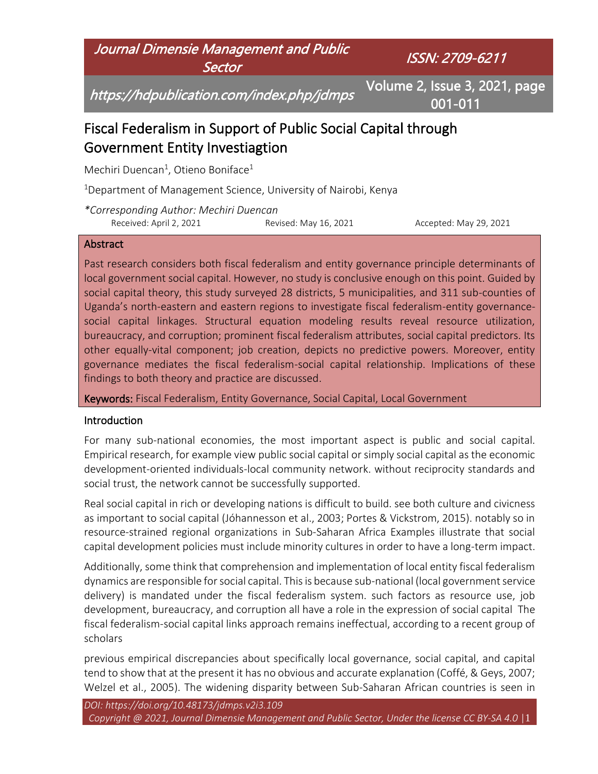Journal Dimensie Management and Public **Sector** 

ISSN: 2709-6211

https://hdpublication.com/index.php/jdmps

Volume 2, Issue 3, 2021, page 001-011

# Fiscal Federalism in Support of Public Social Capital through Government Entity Investiagtion

Mechiri Duencan<sup>1</sup>, Otieno Boniface<sup>1</sup>

<sup>1</sup>Department of Management Science, University of Nairobi, Kenya

*\*Corresponding Author: Mechiri Duencan* Received: April 2, 2021 Revised: May 16, 2021 Accepted: May 29, 2021

#### **Abstract**

Past research considers both fiscal federalism and entity governance principle determinants of local government social capital. However, no study is conclusive enough on this point. Guided by social capital theory, this study surveyed 28 districts, 5 municipalities, and 311 sub-counties of Uganda's north-eastern and eastern regions to investigate fiscal federalism-entity governancesocial capital linkages. Structural equation modeling results reveal resource utilization, bureaucracy, and corruption; prominent fiscal federalism attributes, social capital predictors. Its other equally-vital component; job creation, depicts no predictive powers. Moreover, entity governance mediates the fiscal federalism-social capital relationship. Implications of these findings to both theory and practice are discussed.

Keywords: Fiscal Federalism, Entity Governance, Social Capital, Local Government

### Introduction

For many sub-national economies, the most important aspect is public and social capital. Empirical research, for example view public social capital or simply social capital as the economic development-oriented individuals-local community network. without reciprocity standards and social trust, the network cannot be successfully supported.

Real social capital in rich or developing nations is difficult to build. see both culture and civicness as important to social capital (Jóhannesson et al., 2003; Portes & Vickstrom, 2015). notably so in resource-strained regional organizations in Sub-Saharan Africa Examples illustrate that social capital development policies must include minority cultures in order to have a long-term impact.

Additionally, some think that comprehension and implementation of local entity fiscal federalism dynamics are responsible for social capital. This is because sub-national (local government service delivery) is mandated under the fiscal federalism system. such factors as resource use, job development, bureaucracy, and corruption all have a role in the expression of social capital The fiscal federalism-social capital links approach remains ineffectual, according to a recent group of scholars

previous empirical discrepancies about specifically local governance, social capital, and capital tend to show that at the present it has no obvious and accurate explanation (Coffé, & Geys, 2007; Welzel et al., 2005). The widening disparity between Sub-Saharan African countries is seen in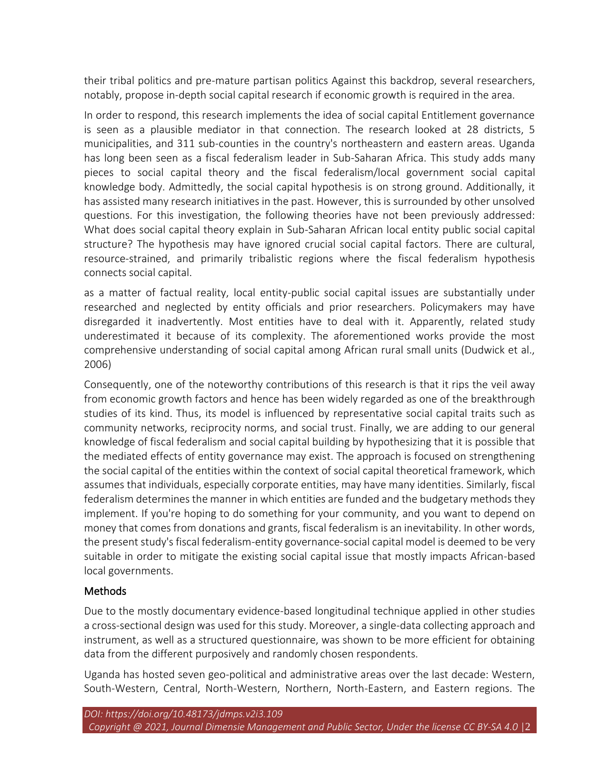their tribal politics and pre-mature partisan politics Against this backdrop, several researchers, notably, propose in-depth social capital research if economic growth is required in the area.

In order to respond, this research implements the idea of social capital Entitlement governance is seen as a plausible mediator in that connection. The research looked at 28 districts, 5 municipalities, and 311 sub-counties in the country's northeastern and eastern areas. Uganda has long been seen as a fiscal federalism leader in Sub-Saharan Africa. This study adds many pieces to social capital theory and the fiscal federalism/local government social capital knowledge body. Admittedly, the social capital hypothesis is on strong ground. Additionally, it has assisted many research initiatives in the past. However, this is surrounded by other unsolved questions. For this investigation, the following theories have not been previously addressed: What does social capital theory explain in Sub-Saharan African local entity public social capital structure? The hypothesis may have ignored crucial social capital factors. There are cultural, resource-strained, and primarily tribalistic regions where the fiscal federalism hypothesis connects social capital.

as a matter of factual reality, local entity-public social capital issues are substantially under researched and neglected by entity officials and prior researchers. Policymakers may have disregarded it inadvertently. Most entities have to deal with it. Apparently, related study underestimated it because of its complexity. The aforementioned works provide the most comprehensive understanding of social capital among African rural small units (Dudwick et al., 2006)

Consequently, one of the noteworthy contributions of this research is that it rips the veil away from economic growth factors and hence has been widely regarded as one of the breakthrough studies of its kind. Thus, its model is influenced by representative social capital traits such as community networks, reciprocity norms, and social trust. Finally, we are adding to our general knowledge of fiscal federalism and social capital building by hypothesizing that it is possible that the mediated effects of entity governance may exist. The approach is focused on strengthening the social capital of the entities within the context of social capital theoretical framework, which assumes that individuals, especially corporate entities, may have many identities. Similarly, fiscal federalism determines the manner in which entities are funded and the budgetary methods they implement. If you're hoping to do something for your community, and you want to depend on money that comes from donations and grants, fiscal federalism is an inevitability. In other words, the present study's fiscal federalism-entity governance-social capital model is deemed to be very suitable in order to mitigate the existing social capital issue that mostly impacts African-based local governments.

# Methods

Due to the mostly documentary evidence-based longitudinal technique applied in other studies a cross-sectional design was used for this study. Moreover, a single-data collecting approach and instrument, as well as a structured questionnaire, was shown to be more efficient for obtaining data from the different purposively and randomly chosen respondents.

Uganda has hosted seven geo-political and administrative areas over the last decade: Western, South-Western, Central, North-Western, Northern, North-Eastern, and Eastern regions. The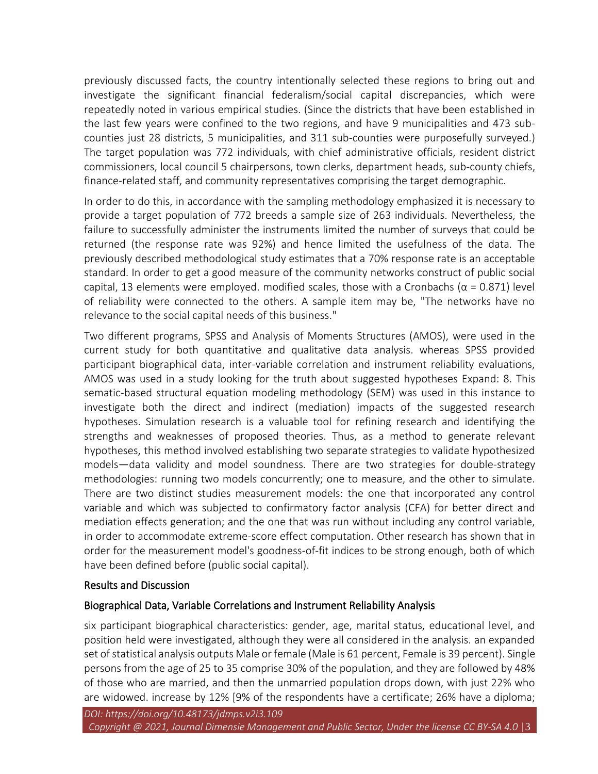previously discussed facts, the country intentionally selected these regions to bring out and investigate the significant financial federalism/social capital discrepancies, which were repeatedly noted in various empirical studies. (Since the districts that have been established in the last few years were confined to the two regions, and have 9 municipalities and 473 subcounties just 28 districts, 5 municipalities, and 311 sub-counties were purposefully surveyed.) The target population was 772 individuals, with chief administrative officials, resident district commissioners, local council 5 chairpersons, town clerks, department heads, sub-county chiefs, finance-related staff, and community representatives comprising the target demographic.

In order to do this, in accordance with the sampling methodology emphasized it is necessary to provide a target population of 772 breeds a sample size of 263 individuals. Nevertheless, the failure to successfully administer the instruments limited the number of surveys that could be returned (the response rate was 92%) and hence limited the usefulness of the data. The previously described methodological study estimates that a 70% response rate is an acceptable standard. In order to get a good measure of the community networks construct of public social capital, 13 elements were employed. modified scales, those with a Cronbachs ( $\alpha$  = 0.871) level of reliability were connected to the others. A sample item may be, "The networks have no relevance to the social capital needs of this business."

Two different programs, SPSS and Analysis of Moments Structures (AMOS), were used in the current study for both quantitative and qualitative data analysis. whereas SPSS provided participant biographical data, inter-variable correlation and instrument reliability evaluations, AMOS was used in a study looking for the truth about suggested hypotheses Expand: 8. This sematic-based structural equation modeling methodology (SEM) was used in this instance to investigate both the direct and indirect (mediation) impacts of the suggested research hypotheses. Simulation research is a valuable tool for refining research and identifying the strengths and weaknesses of proposed theories. Thus, as a method to generate relevant hypotheses, this method involved establishing two separate strategies to validate hypothesized models—data validity and model soundness. There are two strategies for double-strategy methodologies: running two models concurrently; one to measure, and the other to simulate. There are two distinct studies measurement models: the one that incorporated any control variable and which was subjected to confirmatory factor analysis (CFA) for better direct and mediation effects generation; and the one that was run without including any control variable, in order to accommodate extreme-score effect computation. Other research has shown that in order for the measurement model's goodness-of-fit indices to be strong enough, both of which have been defined before (public social capital).

### Results and Discussion

### Biographical Data, Variable Correlations and Instrument Reliability Analysis

six participant biographical characteristics: gender, age, marital status, educational level, and position held were investigated, although they were all considered in the analysis. an expanded set of statistical analysis outputs Male or female (Male is 61 percent, Female is 39 percent). Single persons from the age of 25 to 35 comprise 30% of the population, and they are followed by 48% of those who are married, and then the unmarried population drops down, with just 22% who are widowed. increase by 12% [9% of the respondents have a certificate; 26% have a diploma;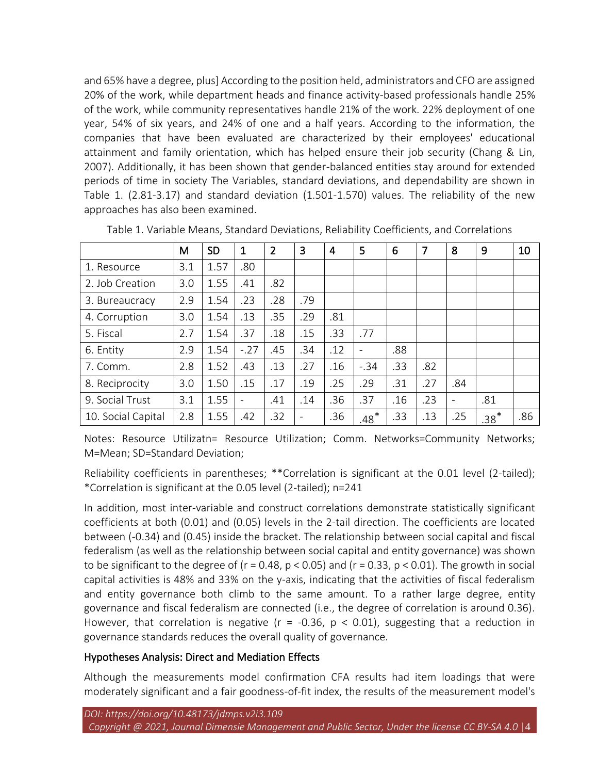and 65% have a degree, plus] According to the position held, administrators and CFO are assigned 20% of the work, while department heads and finance activity-based professionals handle 25% of the work, while community representatives handle 21% of the work. 22% deployment of one year, 54% of six years, and 24% of one and a half years. According to the information, the companies that have been evaluated are characterized by their employees' educational attainment and family orientation, which has helped ensure their job security (Chang & Lin, 2007). Additionally, it has been shown that gender-balanced entities stay around for extended periods of time in society The Variables, standard deviations, and dependability are shown in Table 1. (2.81-3.17) and standard deviation (1.501-1.570) values. The reliability of the new approaches has also been examined.

|                    | M   | <b>SD</b> | $\mathbf 1$              | $\overline{2}$ | 3                            | 4   | 5      | 6   | 7   | 8   | 9      | 10  |
|--------------------|-----|-----------|--------------------------|----------------|------------------------------|-----|--------|-----|-----|-----|--------|-----|
| 1. Resource        | 3.1 | 1.57      | .80                      |                |                              |     |        |     |     |     |        |     |
| 2. Job Creation    | 3.0 | 1.55      | .41                      | .82            |                              |     |        |     |     |     |        |     |
| 3. Bureaucracy     | 2.9 | 1.54      | .23                      | .28            | .79                          |     |        |     |     |     |        |     |
| 4. Corruption      | 3.0 | 1.54      | .13                      | .35            | .29                          | .81 |        |     |     |     |        |     |
| 5. Fiscal          | 2.7 | 1.54      | .37                      | .18            | .15                          | .33 | .77    |     |     |     |        |     |
| 6. Entity          | 2.9 | 1.54      | $-.27$                   | .45            | .34                          | .12 |        | .88 |     |     |        |     |
| 7. Comm.           | 2.8 | 1.52      | .43                      | .13            | .27                          | .16 | $-.34$ | .33 | .82 |     |        |     |
| 8. Reciprocity     | 3.0 | 1.50      | .15                      | .17            | .19                          | .25 | .29    | .31 | .27 | .84 |        |     |
| 9. Social Trust    | 3.1 | 1.55      | $\overline{\phantom{a}}$ | .41            | .14                          | .36 | .37    | .16 | .23 |     | .81    |     |
| 10. Social Capital | 2.8 | 1.55      | .42                      | .32            | $\qquad \qquad \blacksquare$ | .36 | $.48*$ | .33 | .13 | .25 | $.38*$ | .86 |

Table 1. Variable Means, Standard Deviations, Reliability Coefficients, and Correlations

\* \* 1 9 \*\* .29 \* \*\* Notes: Resource Utilizatn= Resource Utilization; Comm. Networks=Community Networks; M=Mean; SD=Standard Deviation;

Reliability coefficients in parentheses; \*\*Correlation is significant at the 0.01 level (2-tailed); \*Correlation is significant at the 0.05 level (2-tailed); n=241

In addition, most inter-variable and construct correlations demonstrate statistically significant coefficients at both (0.01) and (0.05) levels in the 2-tail direction. The coefficients are located between (-0.34) and (0.45) inside the bracket. The relationship between social capital and fiscal federalism (as well as the relationship between social capital and entity governance) was shown to be significant to the degree of ( $r = 0.48$ ,  $p < 0.05$ ) and ( $r = 0.33$ ,  $p < 0.01$ ). The growth in social capital activities is 48% and 33% on the y-axis, indicating that the activities of fiscal federalism and entity governance both climb to the same amount. To a rather large degree, entity governance and fiscal federalism are connected (i.e., the degree of correlation is around 0.36). However, that correlation is negative ( $r = -0.36$ ,  $p < 0.01$ ), suggesting that a reduction in governance standards reduces the overall quality of governance.

# Hypotheses Analysis: Direct and Mediation Effects

Although the measurements model confirmation CFA results had item loadings that were moderately significant and a fair goodness-of-fit index, the results of the measurement model's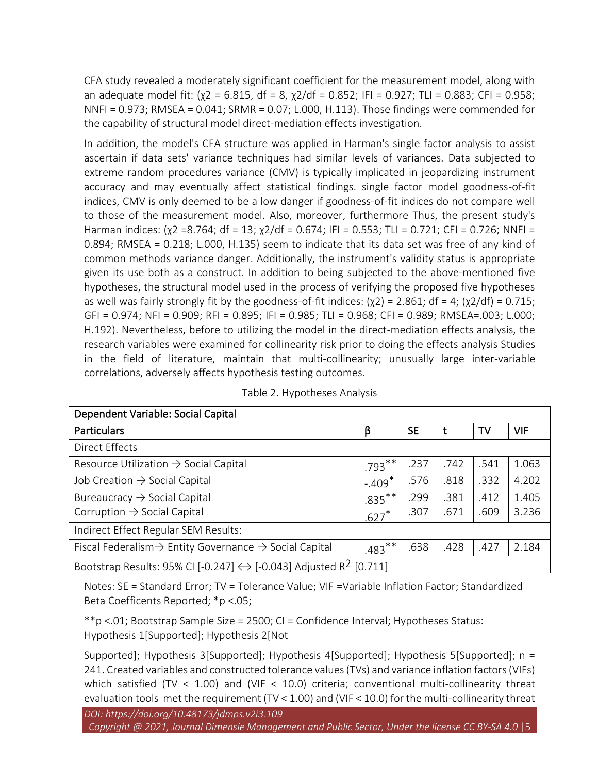CFA study revealed a moderately significant coefficient for the measurement model, along with an adequate model fit: (χ2 = 6.815, df = 8, χ2/df = 0.852; IFI = 0.927; TLI = 0.883; CFI = 0.958; NNFI = 0.973; RMSEA = 0.041; SRMR = 0.07; L.000, H.113). Those findings were commended for the capability of structural model direct-mediation effects investigation.

In addition, the model's CFA structure was applied in Harman's single factor analysis to assist ascertain if data sets' variance techniques had similar levels of variances. Data subjected to extreme random procedures variance (CMV) is typically implicated in jeopardizing instrument accuracy and may eventually affect statistical findings. single factor model goodness-of-fit indices, CMV is only deemed to be a low danger if goodness-of-fit indices do not compare well to those of the measurement model. Also, moreover, furthermore Thus, the present study's Harman indices: (χ2 =8.764; df = 13; χ2/df = 0.674; IFI = 0.553; TLI = 0.721; CFI = 0.726; NNFI = 0.894; RMSEA = 0.218; L.000, H.135) seem to indicate that its data set was free of any kind of common methods variance danger. Additionally, the instrument's validity status is appropriate given its use both as a construct. In addition to being subjected to the above-mentioned five hypotheses, the structural model used in the process of verifying the proposed five hypotheses as well was fairly strongly fit by the goodness-of-fit indices:  $(\chi 2) = 2.861$ ; df = 4;  $(\chi 2/df) = 0.715$ ; GFI = 0.974; NFI = 0.909; RFI = 0.895; IFI = 0.985; TLI = 0.968; CFI = 0.989; RMSEA=.003; L.000; H.192). Nevertheless, before to utilizing the model in the direct-mediation effects analysis, the research variables were examined for collinearity risk prior to doing the effects analysis Studies in the field of literature, maintain that multi-collinearity; unusually large inter-variable correlations, adversely affects hypothesis testing outcomes.

| Dependent Variable: Social Capital                                                            |           |           |      |      |            |  |  |  |  |
|-----------------------------------------------------------------------------------------------|-----------|-----------|------|------|------------|--|--|--|--|
| <b>Particulars</b>                                                                            | β         | <b>SE</b> | t    | TV   | <b>VIF</b> |  |  |  |  |
| Direct Effects                                                                                |           |           |      |      |            |  |  |  |  |
| Resource Utilization $\rightarrow$ Social Capital                                             |           | .237      | .742 | .541 | 1.063      |  |  |  |  |
| Job Creation $\rightarrow$ Social Capital                                                     |           | .576      | .818 | .332 | 4.202      |  |  |  |  |
| Bureaucracy $\rightarrow$ Social Capital                                                      |           | .299      | .381 | .412 | 1.405      |  |  |  |  |
| Corruption $\rightarrow$ Social Capital                                                       |           | .307      | .671 | .609 | 3.236      |  |  |  |  |
| Indirect Effect Regular SEM Results:                                                          |           |           |      |      |            |  |  |  |  |
| Fiscal Federalism $\rightarrow$ Entity Governance $\rightarrow$ Social Capital                | $.483***$ | .638      | .428 | .427 | 2.184      |  |  |  |  |
| Bootstrap Results: 95% CI [-0.247] $\leftrightarrow$ [-0.043] Adjusted R <sup>2</sup> [0.711] |           |           |      |      |            |  |  |  |  |

Notes: SE = Standard Error; TV = Tolerance Value; VIF =Variable Inflation Factor; Standardized Beta Coefficents Reported; \*p <.05;

\*\*p <.01; Bootstrap Sample Size = 2500; CI = Confidence Interval; Hypotheses Status: Hypothesis 1[Supported]; Hypothesis 2[Not

Supported]; Hypothesis 3[Supported]; Hypothesis 4[Supported]; Hypothesis 5[Supported]; n = 241. Created variables and constructed tolerance values (TVs) and variance inflation factors (VIFs) which satisfied (TV < 1.00) and (VIF < 10.0) criteria; conventional multi-collinearity threat evaluation tools met the requirement (TV < 1.00) and (VIF < 10.0) for the multi-collinearity threat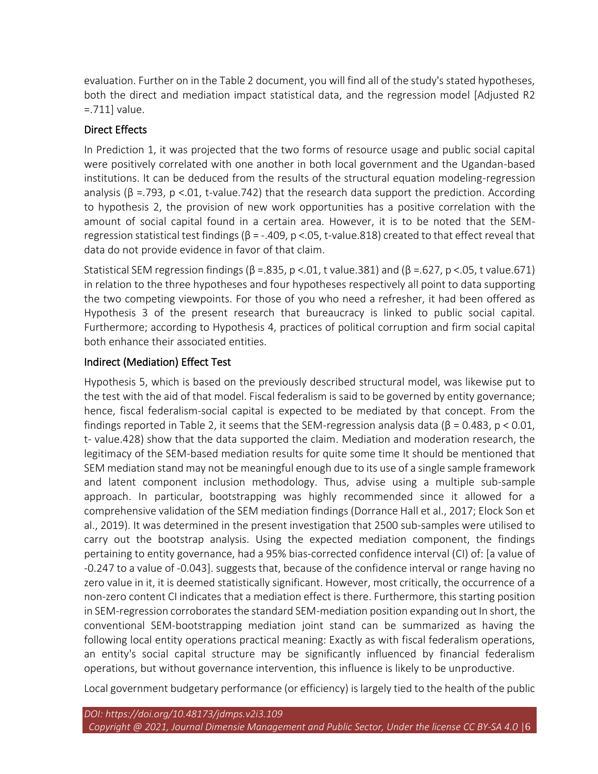evaluation. Further on in the Table 2 document, you will find all of the study's stated hypotheses, both the direct and mediation impact statistical data, and the regression model [Adjusted R2 =.711] value.

# Direct Effects

In Prediction 1, it was projected that the two forms of resource usage and public social capital were positively correlated with one another in both local government and the Ugandan-based institutions. It can be deduced from the results of the structural equation modeling-regression analysis ( $\beta$  =.793, p <.01, t-value.742) that the research data support the prediction. According to hypothesis 2, the provision of new work opportunities has a positive correlation with the amount of social capital found in a certain area. However, it is to be noted that the SEMregression statistical test findings ( $\beta$  = -.409, p <.05, t-value.818) created to that effect reveal that data do not provide evidence in favor of that claim.

Statistical SEM regression findings ( $\beta$  =.835, p <.01, t value.381) and ( $\beta$  =.627, p <.05, t value.671) in relation to the three hypotheses and four hypotheses respectively all point to data supporting the two competing viewpoints. For those of you who need a refresher, it had been offered as Hypothesis 3 of the present research that bureaucracy is linked to public social capital. Furthermore; according to Hypothesis 4, practices of political corruption and firm social capital both enhance their associated entities.

# Indirect (Mediation) Effect Test

Hypothesis 5, which is based on the previously described structural model, was likewise put to the test with the aid of that model. Fiscal federalism is said to be governed by entity governance; hence, fiscal federalism-social capital is expected to be mediated by that concept. From the findings reported in Table 2, it seems that the SEM-regression analysis data (β = 0.483, p < 0.01, t- value.428) show that the data supported the claim. Mediation and moderation research, the legitimacy of the SEM-based mediation results for quite some time It should be mentioned that SEM mediation stand may not be meaningful enough due to its use of a single sample framework and latent component inclusion methodology. Thus, advise using a multiple sub-sample approach. In particular, bootstrapping was highly recommended since it allowed for a comprehensive validation of the SEM mediation findings (Dorrance Hall et al., 2017; Elock Son et al., 2019). It was determined in the present investigation that 2500 sub-samples were utilised to carry out the bootstrap analysis. Using the expected mediation component, the findings pertaining to entity governance, had a 95% bias-corrected confidence interval (CI) of: [a value of -0.247 to a value of -0.043]. suggests that, because of the confidence interval or range having no zero value in it, it is deemed statistically significant. However, most critically, the occurrence of a non-zero content CI indicates that a mediation effect is there. Furthermore, this starting position in SEM-regression corroborates the standard SEM-mediation position expanding out In short, the conventional SEM-bootstrapping mediation joint stand can be summarized as having the following local entity operations practical meaning: Exactly as with fiscal federalism operations, an entity's social capital structure may be significantly influenced by financial federalism operations, but without governance intervention, this influence is likely to be unproductive.

Local government budgetary performance (or efficiency) is largely tied to the health of the public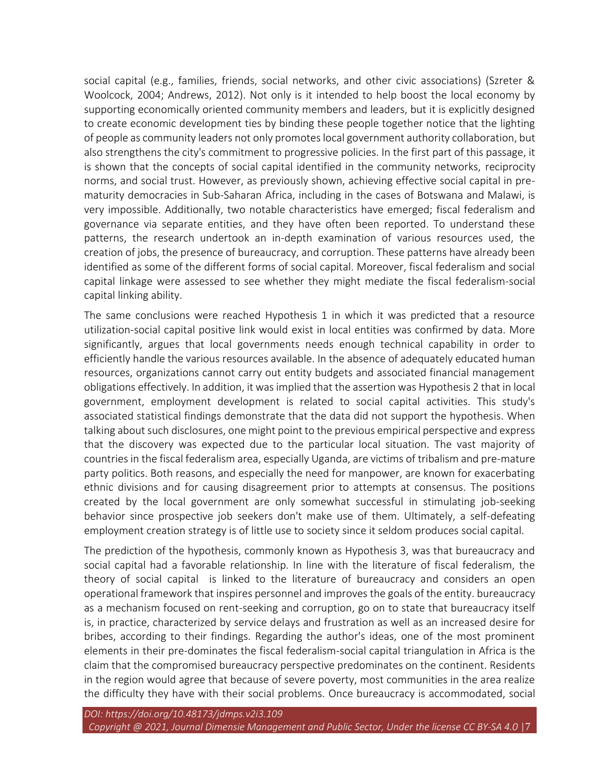social capital (e.g., families, friends, social networks, and other civic associations) (Szreter & Woolcock, 2004; Andrews, 2012). Not only is it intended to help boost the local economy by supporting economically oriented community members and leaders, but it is explicitly designed to create economic development ties by binding these people together notice that the lighting of people as community leaders not only promotes local government authority collaboration, but also strengthens the city's commitment to progressive policies. In the first part of this passage, it is shown that the concepts of social capital identified in the community networks, reciprocity norms, and social trust. However, as previously shown, achieving effective social capital in prematurity democracies in Sub-Saharan Africa, including in the cases of Botswana and Malawi, is very impossible. Additionally, two notable characteristics have emerged; fiscal federalism and governance via separate entities, and they have often been reported. To understand these patterns, the research undertook an in-depth examination of various resources used, the creation of jobs, the presence of bureaucracy, and corruption. These patterns have already been identified as some of the different forms of social capital. Moreover, fiscal federalism and social capital linkage were assessed to see whether they might mediate the fiscal federalism-social capital linking ability.

The same conclusions were reached Hypothesis 1 in which it was predicted that a resource utilization-social capital positive link would exist in local entities was confirmed by data. More significantly, argues that local governments needs enough technical capability in order to efficiently handle the various resources available. In the absence of adequately educated human resources, organizations cannot carry out entity budgets and associated financial management obligations effectively. In addition, it was implied that the assertion was Hypothesis 2 that in local government, employment development is related to social capital activities. This study's associated statistical findings demonstrate that the data did not support the hypothesis. When talking about such disclosures, one might point to the previous empirical perspective and express that the discovery was expected due to the particular local situation. The vast majority of countries in the fiscal federalism area, especially Uganda, are victims of tribalism and pre-mature party politics. Both reasons, and especially the need for manpower, are known for exacerbating ethnic divisions and for causing disagreement prior to attempts at consensus. The positions created by the local government are only somewhat successful in stimulating job-seeking behavior since prospective job seekers don't make use of them. Ultimately, a self-defeating employment creation strategy is of little use to society since it seldom produces social capital.

The prediction of the hypothesis, commonly known as Hypothesis 3, was that bureaucracy and social capital had a favorable relationship. In line with the literature of fiscal federalism, the theory of social capital is linked to the literature of bureaucracy and considers an open operational framework that inspires personnel and improves the goals of the entity. bureaucracy as a mechanism focused on rent-seeking and corruption, go on to state that bureaucracy itself is, in practice, characterized by service delays and frustration as well as an increased desire for bribes, according to their findings. Regarding the author's ideas, one of the most prominent elements in their pre-dominates the fiscal federalism-social capital triangulation in Africa is the claim that the compromised bureaucracy perspective predominates on the continent. Residents in the region would agree that because of severe poverty, most communities in the area realize the difficulty they have with their social problems. Once bureaucracy is accommodated, social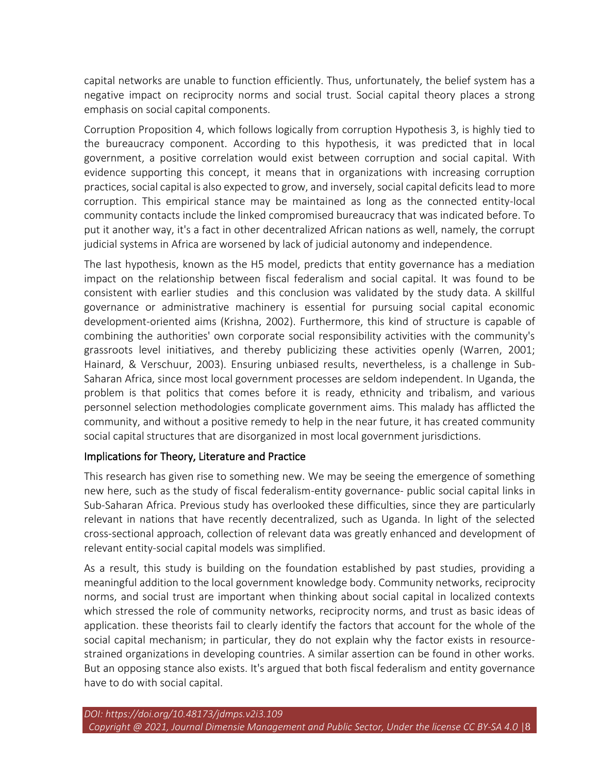capital networks are unable to function efficiently. Thus, unfortunately, the belief system has a negative impact on reciprocity norms and social trust. Social capital theory places a strong emphasis on social capital components.

Corruption Proposition 4, which follows logically from corruption Hypothesis 3, is highly tied to the bureaucracy component. According to this hypothesis, it was predicted that in local government, a positive correlation would exist between corruption and social capital. With evidence supporting this concept, it means that in organizations with increasing corruption practices, social capital is also expected to grow, and inversely, social capital deficits lead to more corruption. This empirical stance may be maintained as long as the connected entity-local community contacts include the linked compromised bureaucracy that was indicated before. To put it another way, it's a fact in other decentralized African nations as well, namely, the corrupt judicial systems in Africa are worsened by lack of judicial autonomy and independence.

The last hypothesis, known as the H5 model, predicts that entity governance has a mediation impact on the relationship between fiscal federalism and social capital. It was found to be consistent with earlier studies and this conclusion was validated by the study data. A skillful governance or administrative machinery is essential for pursuing social capital economic development-oriented aims (Krishna, 2002). Furthermore, this kind of structure is capable of combining the authorities' own corporate social responsibility activities with the community's grassroots level initiatives, and thereby publicizing these activities openly (Warren, 2001; Hainard, & Verschuur, 2003). Ensuring unbiased results, nevertheless, is a challenge in Sub-Saharan Africa, since most local government processes are seldom independent. In Uganda, the problem is that politics that comes before it is ready, ethnicity and tribalism, and various personnel selection methodologies complicate government aims. This malady has afflicted the community, and without a positive remedy to help in the near future, it has created community social capital structures that are disorganized in most local government jurisdictions.

# Implications for Theory, Literature and Practice

This research has given rise to something new. We may be seeing the emergence of something new here, such as the study of fiscal federalism-entity governance- public social capital links in Sub-Saharan Africa. Previous study has overlooked these difficulties, since they are particularly relevant in nations that have recently decentralized, such as Uganda. In light of the selected cross-sectional approach, collection of relevant data was greatly enhanced and development of relevant entity-social capital models was simplified.

As a result, this study is building on the foundation established by past studies, providing a meaningful addition to the local government knowledge body. Community networks, reciprocity norms, and social trust are important when thinking about social capital in localized contexts which stressed the role of community networks, reciprocity norms, and trust as basic ideas of application. these theorists fail to clearly identify the factors that account for the whole of the social capital mechanism; in particular, they do not explain why the factor exists in resourcestrained organizations in developing countries. A similar assertion can be found in other works. But an opposing stance also exists. It's argued that both fiscal federalism and entity governance have to do with social capital.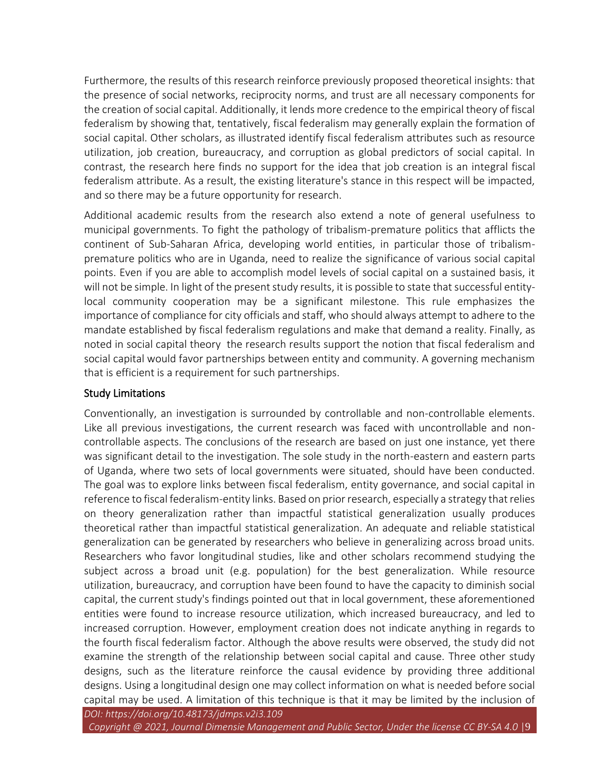Furthermore, the results of this research reinforce previously proposed theoretical insights: that the presence of social networks, reciprocity norms, and trust are all necessary components for the creation of social capital. Additionally, it lends more credence to the empirical theory of fiscal federalism by showing that, tentatively, fiscal federalism may generally explain the formation of social capital. Other scholars, as illustrated identify fiscal federalism attributes such as resource utilization, job creation, bureaucracy, and corruption as global predictors of social capital. In contrast, the research here finds no support for the idea that job creation is an integral fiscal federalism attribute. As a result, the existing literature's stance in this respect will be impacted, and so there may be a future opportunity for research.

Additional academic results from the research also extend a note of general usefulness to municipal governments. To fight the pathology of tribalism-premature politics that afflicts the continent of Sub-Saharan Africa, developing world entities, in particular those of tribalismpremature politics who are in Uganda, need to realize the significance of various social capital points. Even if you are able to accomplish model levels of social capital on a sustained basis, it will not be simple. In light of the present study results, it is possible to state that successful entitylocal community cooperation may be a significant milestone. This rule emphasizes the importance of compliance for city officials and staff, who should always attempt to adhere to the mandate established by fiscal federalism regulations and make that demand a reality. Finally, as noted in social capital theory the research results support the notion that fiscal federalism and social capital would favor partnerships between entity and community. A governing mechanism that is efficient is a requirement for such partnerships.

# Study Limitations

Conventionally, an investigation is surrounded by controllable and non-controllable elements. Like all previous investigations, the current research was faced with uncontrollable and noncontrollable aspects. The conclusions of the research are based on just one instance, yet there was significant detail to the investigation. The sole study in the north-eastern and eastern parts of Uganda, where two sets of local governments were situated, should have been conducted. The goal was to explore links between fiscal federalism, entity governance, and social capital in reference to fiscal federalism-entity links. Based on prior research, especially a strategy that relies on theory generalization rather than impactful statistical generalization usually produces theoretical rather than impactful statistical generalization. An adequate and reliable statistical generalization can be generated by researchers who believe in generalizing across broad units. Researchers who favor longitudinal studies, like and other scholars recommend studying the subject across a broad unit (e.g. population) for the best generalization. While resource utilization, bureaucracy, and corruption have been found to have the capacity to diminish social capital, the current study's findings pointed out that in local government, these aforementioned entities were found to increase resource utilization, which increased bureaucracy, and led to increased corruption. However, employment creation does not indicate anything in regards to the fourth fiscal federalism factor. Although the above results were observed, the study did not examine the strength of the relationship between social capital and cause. Three other study designs, such as the literature reinforce the causal evidence by providing three additional designs. Using a longitudinal design one may collect information on what is needed before social capital may be used. A limitation of this technique is that it may be limited by the inclusion of

*Copyright @ 2021, Journal Dimensie Management and Public Sector, Under the license CC BY-SA 4.0* |9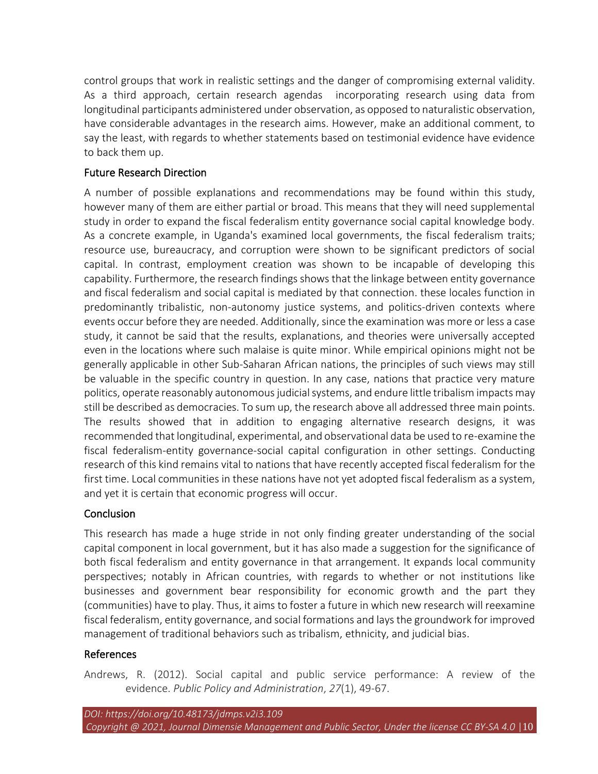control groups that work in realistic settings and the danger of compromising external validity. As a third approach, certain research agendas incorporating research using data from longitudinal participants administered under observation, as opposed to naturalistic observation, have considerable advantages in the research aims. However, make an additional comment, to say the least, with regards to whether statements based on testimonial evidence have evidence to back them up.

# Future Research Direction

A number of possible explanations and recommendations may be found within this study, however many of them are either partial or broad. This means that they will need supplemental study in order to expand the fiscal federalism entity governance social capital knowledge body. As a concrete example, in Uganda's examined local governments, the fiscal federalism traits; resource use, bureaucracy, and corruption were shown to be significant predictors of social capital. In contrast, employment creation was shown to be incapable of developing this capability. Furthermore, the research findings shows that the linkage between entity governance and fiscal federalism and social capital is mediated by that connection. these locales function in predominantly tribalistic, non-autonomy justice systems, and politics-driven contexts where events occur before they are needed. Additionally, since the examination was more or less a case study, it cannot be said that the results, explanations, and theories were universally accepted even in the locations where such malaise is quite minor. While empirical opinions might not be generally applicable in other Sub-Saharan African nations, the principles of such views may still be valuable in the specific country in question. In any case, nations that practice very mature politics, operate reasonably autonomous judicial systems, and endure little tribalism impacts may still be described as democracies. To sum up, the research above all addressed three main points. The results showed that in addition to engaging alternative research designs, it was recommended that longitudinal, experimental, and observational data be used to re-examine the fiscal federalism-entity governance-social capital configuration in other settings. Conducting research of this kind remains vital to nations that have recently accepted fiscal federalism for the first time. Local communities in these nations have not yet adopted fiscal federalism as a system, and yet it is certain that economic progress will occur.

# Conclusion

This research has made a huge stride in not only finding greater understanding of the social capital component in local government, but it has also made a suggestion for the significance of both fiscal federalism and entity governance in that arrangement. It expands local community perspectives; notably in African countries, with regards to whether or not institutions like businesses and government bear responsibility for economic growth and the part they (communities) have to play. Thus, it aims to foster a future in which new research will reexamine fiscal federalism, entity governance, and social formations and lays the groundwork for improved management of traditional behaviors such as tribalism, ethnicity, and judicial bias.

# References

Andrews, R. (2012). Social capital and public service performance: A review of the evidence. *Public Policy and Administration*, *27*(1), 49-67.